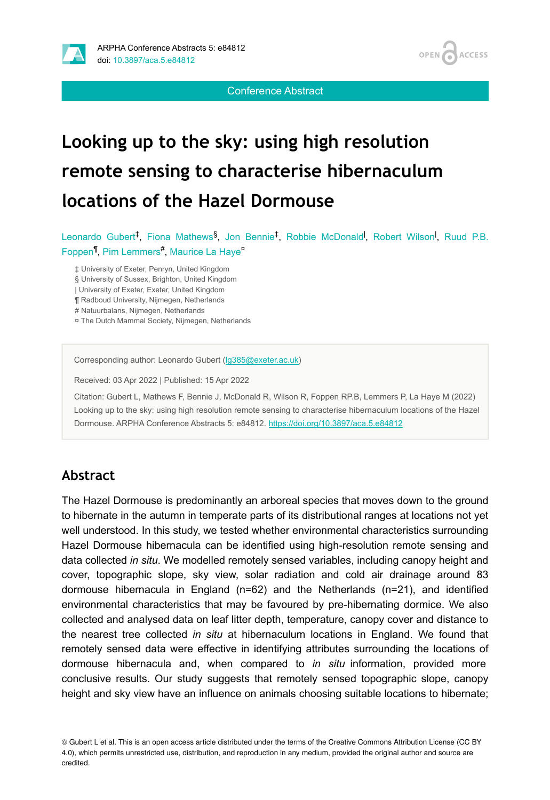



Conference Abstract

# **Looking up to the sky: using high resolution remote sensing to characterise hibernaculum locations of the Hazel Dormouse**

Leonardo Gubert<sup>‡</sup>, Fiona Mathews<sup>§</sup>, Jon Bennie<sup>‡</sup>, Robbie McDonald<sup>1</sup>, Robert Wilson<sup>1</sup>, Ruud P.B. Foppen<sup>¶</sup>, Pim Lemmers<sup>#</sup>, Maurice La Haye<sup>¤</sup>

‡ University of Exeter, Penryn, United Kingdom

§ University of Sussex, Brighton, United Kingdom

| University of Exeter, Exeter, United Kingdom

¶ Radboud University, Nijmegen, Netherlands

# Natuurbalans, Nijmegen, Netherlands

¤ The Dutch Mammal Society, Nijmegen, Netherlands

Corresponding author: Leonardo Gubert ([lg385@exeter.ac.uk\)](mailto:lg385@exeter.ac.uk)

Received: 03 Apr 2022 | Published: 15 Apr 2022

Citation: Gubert L, Mathews F, Bennie J, McDonald R, Wilson R, Foppen RP.B, Lemmers P, La Haye M (2022) Looking up to the sky: using high resolution remote sensing to characterise hibernaculum locations of the Hazel Dormouse. ARPHA Conference Abstracts 5: e84812.<https://doi.org/10.3897/aca.5.e84812>

#### **Abstract**

The Hazel Dormouse is predominantly an arboreal species that moves down to the ground to hibernate in the autumn in temperate parts of its distributional ranges at locations not yet well understood. In this study, we tested whether environmental characteristics surrounding Hazel Dormouse hibernacula can be identified using high-resolution remote sensing and data collected *in situ*. We modelled remotely sensed variables, including canopy height and cover, topographic slope, sky view, solar radiation and cold air drainage around 83 dormouse hibernacula in England (n=62) and the Netherlands (n=21), and identified environmental characteristics that may be favoured by pre-hibernating dormice. We also collected and analysed data on leaf litter depth, temperature, canopy cover and distance to the nearest tree collected *in situ* at hibernaculum locations in England. We found that remotely sensed data were effective in identifying attributes surrounding the locations of dormouse hibernacula and, when compared to *in situ* information, provided more conclusive results. Our study suggests that remotely sensed topographic slope, canopy height and sky view have an influence on animals choosing suitable locations to hibernate;

© Gubert L et al. This is an open access article distributed under the terms of the Creative Commons Attribution License (CC BY 4.0), which permits unrestricted use, distribution, and reproduction in any medium, provided the original author and source are credited.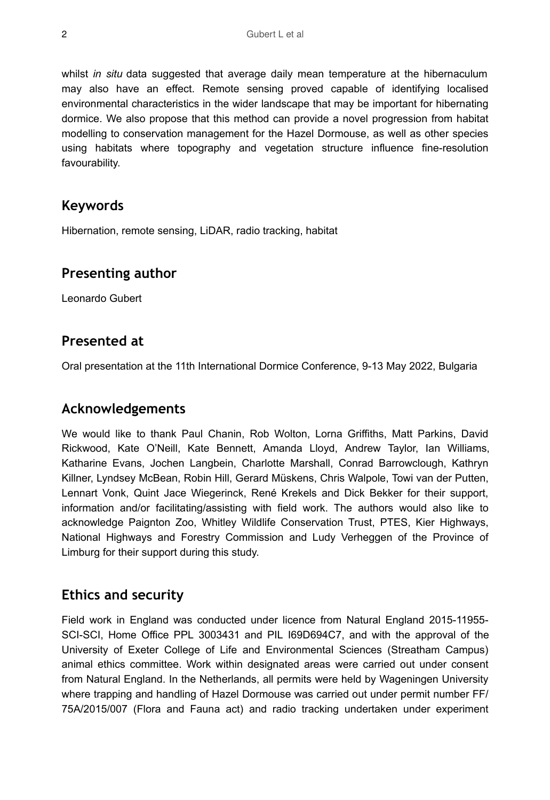whilst *in situ* data suggested that average daily mean temperature at the hibernaculum may also have an effect. Remote sensing proved capable of identifying localised environmental characteristics in the wider landscape that may be important for hibernating dormice. We also propose that this method can provide a novel progression from habitat modelling to conservation management for the Hazel Dormouse, as well as other species using habitats where topography and vegetation structure influence fine-resolution favourability.

## **Keywords**

Hibernation, remote sensing, LiDAR, radio tracking, habitat

#### **Presenting author**

Leonardo Gubert

#### **Presented at**

Oral presentation at the 11th International Dormice Conference, 9-13 May 2022, Bulgaria

#### **Acknowledgements**

We would like to thank Paul Chanin, Rob Wolton, Lorna Griffiths, Matt Parkins, David Rickwood, Kate O'Neill, Kate Bennett, Amanda Lloyd, Andrew Taylor, Ian Williams, Katharine Evans, Jochen Langbein, Charlotte Marshall, Conrad Barrowclough, Kathryn Killner, Lyndsey McBean, Robin Hill, Gerard Müskens, Chris Walpole, Towi van der Putten, Lennart Vonk, Quint Jace Wiegerinck, René Krekels and Dick Bekker for their support, information and/or facilitating/assisting with field work. The authors would also like to acknowledge Paignton Zoo, Whitley Wildlife Conservation Trust, PTES, Kier Highways, National Highways and Forestry Commission and Ludy Verheggen of the Province of Limburg for their support during this study.

## **Ethics and security**

Field work in England was conducted under licence from Natural England 2015-11955- SCI-SCI, Home Office PPL 3003431 and PIL I69D694C7, and with the approval of the University of Exeter College of Life and Environmental Sciences (Streatham Campus) animal ethics committee. Work within designated areas were carried out under consent from Natural England. In the Netherlands, all permits were held by Wageningen University where trapping and handling of Hazel Dormouse was carried out under permit number FF/ 75A/2015/007 (Flora and Fauna act) and radio tracking undertaken under experiment